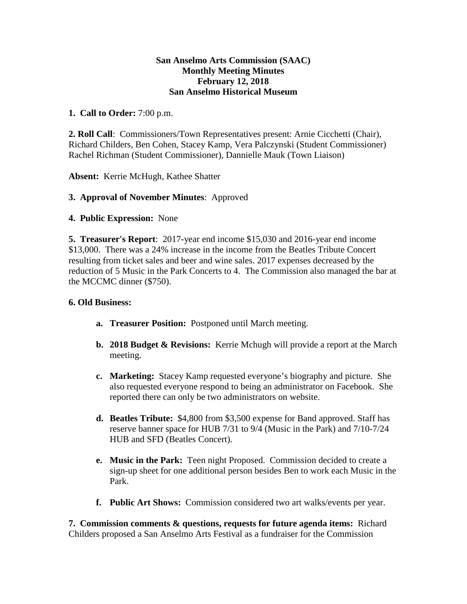### **San Anselmo Arts Commission (SAAC) Monthly Meeting Minutes February 12, 2018 San Anselmo Historical Museum**

## **1. Call to Order:** 7:00 p.m.

**2. Roll Call**: Commissioners/Town Representatives present: Arnie Cicchetti (Chair), Richard Childers, Ben Cohen, Stacey Kamp, Vera Palczynski (Student Commissioner) Rachel Richman (Student Commissioner), Dannielle Mauk (Town Liaison)

**Absent:** Kerrie McHugh, Kathee Shatter

# **3. Approval of November Minutes**: Approved

### **4. Public Expression:** None

**5. Treasurer's Report**: 2017-year end income \$15,030 and 2016-year end income \$13,000. There was a 24% increase in the income from the Beatles Tribute Concert resulting from ticket sales and beer and wine sales. 2017 expenses decreased by the reduction of 5 Music in the Park Concerts to 4. The Commission also managed the bar at the MCCMC dinner (\$750).

#### **6. Old Business:**

- **a. Treasurer Position:** Postponed until March meeting.
- **b. 2018 Budget & Revisions:** Kerrie Mchugh will provide a report at the March meeting.
- **c. Marketing:** Stacey Kamp requested everyone's biography and picture. She also requested everyone respond to being an administrator on Facebook. She reported there can only be two administrators on website.
- **d. Beatles Tribute:** \$4,800 from \$3,500 expense for Band approved. Staff has reserve banner space for HUB 7/31 to 9/4 (Music in the Park) and 7/10-7/24 HUB and SFD (Beatles Concert).
- **e. Music in the Park:** Teen night Proposed. Commission decided to create a sign-up sheet for one additional person besides Ben to work each Music in the Park.
- **f. Public Art Shows:** Commission considered two art walks/events per year.

**7. Commission comments & questions, requests for future agenda items:** Richard Childers proposed a San Anselmo Arts Festival as a fundraiser for the Commission